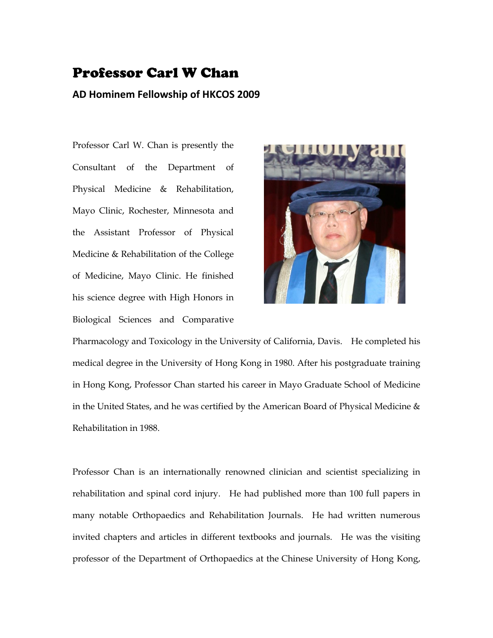## Professor Carl W Chan

## **AD Hominem Fellowship of HKCOS 2009**

Professor Carl W. Chan is presently the Consultant of the Department of Physical Medicine & Rehabilitation, Mayo Clinic, Rochester, Minnesota and the Assistant Professor of Physical Medicine & Rehabilitation of the College of Medicine, Mayo Clinic. He finished his science degree with High Honors in Biological Sciences and Comparative



Pharmacology and Toxicology in the University of California, Davis. He completed his medical degree in the University of Hong Kong in 1980. After his postgraduate training in Hong Kong, Professor Chan started his career in Mayo Graduate School of Medicine in the United States, and he was certified by the American Board of Physical Medicine  $\&$ Rehabilitation in 1988.

Professor Chan is an internationally renowned clinician and scientist specializing in rehabilitation and spinal cord injury. He had published more than 100 full papers in many notable Orthopaedics and Rehabilitation Journals. He had written numerous invited chapters and articles in different textbooks and journals. He was the visiting professor of the Department of Orthopaedics at the Chinese University of Hong Kong,